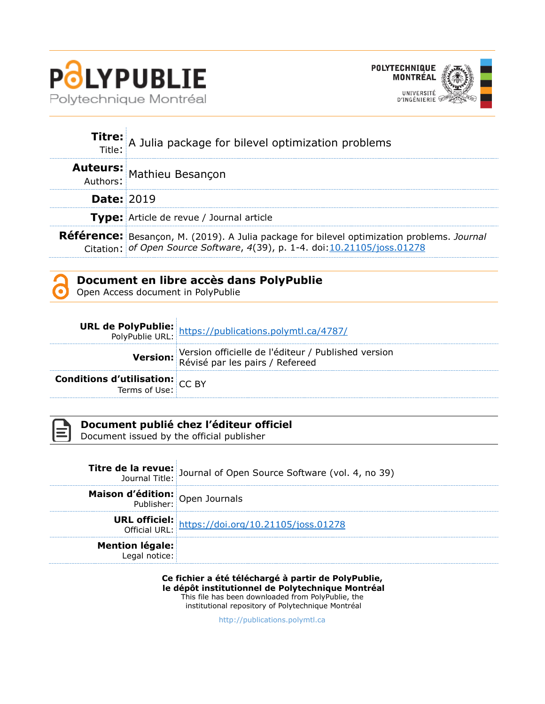



|                   | <b>Titre:</b> A Julia package for bilevel optimization problems                                                                                                          |
|-------------------|--------------------------------------------------------------------------------------------------------------------------------------------------------------------------|
|                   | <b>Auteurs:</b> Mathieu Besançon<br>Authors:                                                                                                                             |
| <b>Date: 2019</b> |                                                                                                                                                                          |
|                   | Type: Article de revue / Journal article                                                                                                                                 |
|                   | Référence: Besançon, M. (2019). A Julia package for bilevel optimization problems. Journal<br>Citation: of Open Source Software, 4(39), p. 1-4. doi: 10.21105/joss.01278 |

### **Document en libre accès dans PolyPublie**

Open Access document in PolyPublie

|                                                                   | <b>URL de PolyPublie:</b> https://publications.polymtl.ca/4787/<br>PolyPublie URL: https://publications.polymtl.ca/4787/ |
|-------------------------------------------------------------------|--------------------------------------------------------------------------------------------------------------------------|
|                                                                   | Version officielle de l'éditeur / Published version<br>Révisé par les pairs / Refereed                                   |
| <b>Conditions d'utilisation:</b> $CC$ BY<br>Terms of Use: $CC$ BY |                                                                                                                          |

| <b>Service Service</b> |
|------------------------|
| _<br>_____             |
|                        |
|                        |

# **Document publié chez l'éditeur officiel**

Document issued by the official publisher

|                                         | <b>Titre de la revue:</b><br>Journal Title: Journal of Open Source Software (vol. 4, no 39) |
|-----------------------------------------|---------------------------------------------------------------------------------------------|
| Maison d'édition: Open Journals         |                                                                                             |
|                                         | <b>URL officiel:</b> https://doi.org/10.21105/joss.01278                                    |
| <b>Mention légale:</b><br>Legal notice: |                                                                                             |

#### **Ce fichier a été téléchargé à partir de PolyPublie, le dépôt institutionnel de Polytechnique Montréal**

This file has been downloaded from PolyPublie, the institutional repository of Polytechnique Montréal

[http://publications.polymtl.ca](http://publications.polymtl.ca/)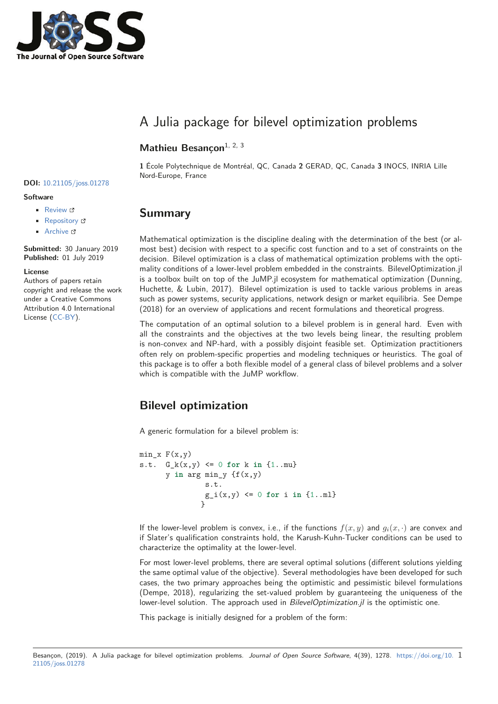

# A Julia package for bilevel optimization problems

### Mathieu Besancon<sup>1, 2, 3</sup>

1 École Polytechnique de Montréal, QC, Canada 2 GERAD, QC, Canada 3 INOCS, INRIA Lille Nord-Europe, France

# **DOI:** 10.21105/joss.01278

#### **Software**

- Review <sup>r</sup>
- Repository C
- Archive C

Submitted: 30 January 2019 Published: 01 July 2019

#### License

Authors of papers retain copyright and release the work under a Creative Commons Attribution 4.0 International License (CC-BY).

# **Summary**

Mathematical optimization is the discipline dealing with the determination of the best (or almost best) decision with respect to a specific cost function and to a set of constraints on the decision. Bilevel optimization is a class of mathematical optimization problems with the optimality conditions of a lower-level problem embedded in the constraints. BilevelOptimization.jl is a toolbox built on top of the JuMP.jl ecosystem for mathematical optimization (Dunning, Huchette, & Lubin, 2017). Bilevel optimization is used to tackle various problems in areas such as power systems, security applications, network design or market equilibria. See Dempe (2018) for an overview of applications and recent formulations and theoretical progress.

The computation of an optimal solution to a bilevel problem is in general hard. Even with all the constraints and the objectives at the two levels being linear, the resulting problem is non-convex and NP-hard, with a possibly disjoint feasible set. Optimization practitioners often rely on problem-specific properties and modeling techniques or heuristics. The goal of this package is to offer a both flexible model of a general class of bilevel problems and a solver which is compatible with the JuMP workflow.

### **Bilevel optimization**

A generic formulation for a bilevel problem is:

```
min x F(x,y)s.t. G_k(x,y) \le 0 for k in \{1..m\}y in arg min_y {f(x,y)}s.t.g_i(x,y) \le 0 for i in \{1...m\}ι
```
If the lower-level problem is convex, i.e., if the functions  $f(x, y)$  and  $q_i(x, \cdot)$  are convex and if Slater's qualification constraints hold, the Karush-Kuhn-Tucker conditions can be used to characterize the optimality at the lower-level.

For most lower-level problems, there are several optimal solutions (different solutions yielding the same optimal value of the objective). Several methodologies have been developed for such cases, the two primary approaches being the optimistic and pessimistic bilevel formulations (Dempe, 2018), regularizing the set-valued problem by guaranteeing the uniqueness of the lower-level solution. The approach used in BilevelOptimization.jl is the optimistic one.

This package is initially designed for a problem of the form:

Besançon, (2019). A Julia package for bilevel optimization problems. Journal of Open Source Software, 4(39), 1278. https://doi.org/10. 1 21105/joss.01278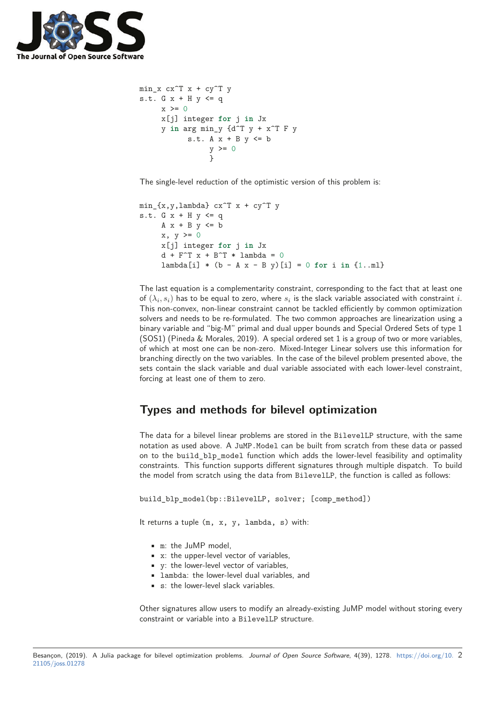

```
min x cx^T x + cy^T ys.t. G x + H y \leq qx \ge 0x[j] integer for j in Jx
     y in arg min y \{d^T y + x^T F ys.t. A x + B y \le by \geq 0þ
```
The single-level reduction of the optimistic version of this problem is:

```
min_{x,y,lambda} cx<sup>\tau</sup> x + cy<sup>\tau</sup> y
s.t. G x + H y \leq qA x + B y \le bx, y \ge 0x[i] integer for j in Jx
      d + F<sup>\cap</sup>T x + B\capT * lambda = 0
      lambda[i] * (b - A x - B y)[i] = 0 for i in \{1..m1\}
```
The last equation is a complementarity constraint, corresponding to the fact that at least one of  $(\lambda_i, s_i)$  has to be equal to zero, where  $s_i$  is the slack variable associated with constraint i. This non-convex, non-linear constraint cannot be tackled efficiently by common optimization solvers and needs to be re-formulated. The two common approaches are linearization using a binary variable and "big-M" primal and dual upper bounds and Special Ordered Sets of type 1 (SOS1) (Pineda & Morales, 2019). A special ordered set 1 is a group of two or more variables, of which at most one can be non-zero. Mixed-Integer Linear solvers use this information for branching directly on the two variables. In the case of the bilevel problem presented above, the sets contain the slack variable and dual variable associated with each lower-level constraint, forcing at least one of them to zero.

# Types and methods for bilevel optimization

The data for a bilevel linear problems are stored in the BilevelLP structure, with the same notation as used above. A JuMP. Model can be built from scratch from these data or passed on to the build\_blp\_model function which adds the lower-level feasibility and optimality constraints. This function supports different signatures through multiple dispatch. To build the model from scratch using the data from BilevelLP, the function is called as follows:

```
build_blp_model(bp::BilevelLP, solver; [comp_method])
```
It returns a tuple  $(m, x, y, \lambda)$  hambda, s) with:

- . m: the JuMP model.
- $\bullet$  x: the upper-level vector of variables.
- v: the lower-level vector of variables.
- Lambda: the lower-level dual variables, and
- $\bullet$  s: the lower-level slack variables.

Other signatures allow users to modify an already-existing JuMP model without storing every constraint or variable into a BilevelLP structure.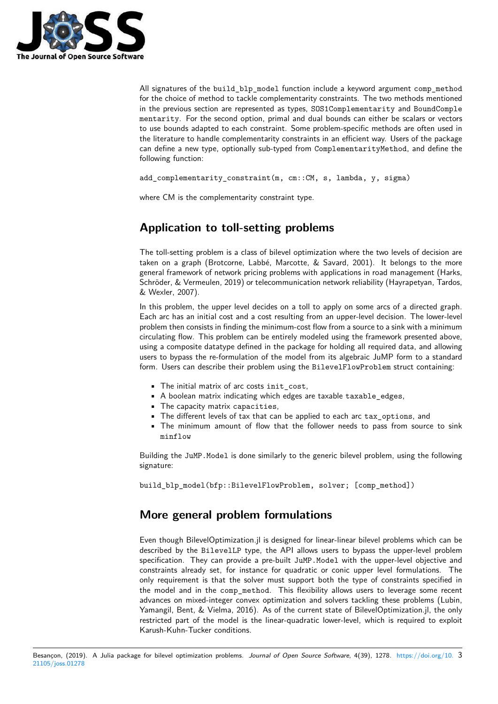

All signatures of the build blp model function include a keyword argument comp method for the choice of method to tackle complementarity constraints. The two methods mentioned in the previous section are represented as types, SOS1Complementarity and BoundComple mentarity. For the second option, primal and dual bounds can either be scalars or vectors to use bounds adapted to each constraint. Some problem-specific methods are often used in the literature to handle complementarity constraints in an efficient way. Users of the package can define a new type, optionally sub-typed from ComplementarityMethod, and define the following function:

add\_complementarity\_constraint(m, cm::CM, s, lambda, y, sigma)

where CM is the complementarity constraint type.

# **Application to toll-setting problems**

The toll-setting problem is a class of bilevel optimization where the two levels of decision are taken on a graph (Brotcorne, Labbé, Marcotte, & Savard, 2001). It belongs to the more general framework of network pricing problems with applications in road management (Harks, Schröder, & Vermeulen, 2019) or telecommunication network reliability (Hayrapetyan, Tardos, & Wexler, 2007).

In this problem, the upper level decides on a toll to apply on some arcs of a directed graph. Each arc has an initial cost and a cost resulting from an upper-level decision. The lower-level problem then consists in finding the minimum-cost flow from a source to a sink with a minimum circulating flow. This problem can be entirely modeled using the framework presented above, using a composite datatype defined in the package for holding all required data, and allowing users to bypass the re-formulation of the model from its algebraic JuMP form to a standard form. Users can describe their problem using the BilevelFlowProblem struct containing:

- The initial matrix of arc costs init\_cost,
- A boolean matrix indicating which edges are taxable taxable edges,
- The capacity matrix capacities,
- The different levels of tax that can be applied to each arc tax\_options, and
- The minimum amount of flow that the follower needs to pass from source to sink minflow

Building the JuMP.Model is done similarly to the generic bilevel problem, using the following signature:

build\_blp\_model(bfp::BilevelFlowProblem, solver; [comp\_method])

# **More general problem formulations**

Even though BilevelOptimization.jl is designed for linear-linear bilevel problems which can be described by the BilevelLP type, the API allows users to bypass the upper-level problem specification. They can provide a pre-built JuMP.Model with the upper-level objective and constraints already set, for instance for quadratic or conic upper level formulations. The only requirement is that the solver must support both the type of constraints specified in the model and in the comp\_method. This flexibility allows users to leverage some recent advances on mixed-integer convex optimization and solvers tackling these problems (Lubin, Yamangil, Bent, & Vielma, 2016). As of the current state of BilevelOptimization.jl, the only restricted part of the model is the linear-quadratic lower-level, which is required to exploit Karush-Kuhn-Tucker conditions.